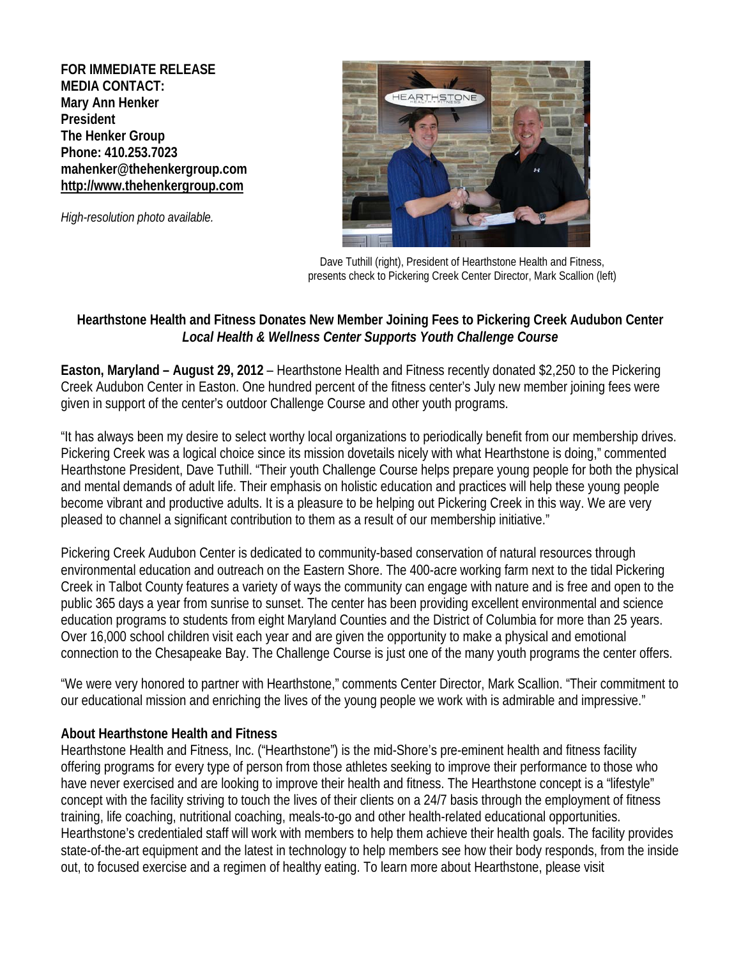**FOR IMMEDIATE RELEASE MEDIA CONTACT: Mary Ann Henker President The Henker Group Phone: 410.253.7023 [mahenker@thehenkergroup.com](mailto:elavi@alexorthopedic.com) [http://www.thehenkergroup.com](http://www.thehenkergroup.com/)**

*High-resolution photo available.*



Dave Tuthill (right), President of Hearthstone Health and Fitness, presents check to Pickering Creek Center Director, Mark Scallion (left)

## **Hearthstone Health and Fitness Donates New Member Joining Fees to Pickering Creek Audubon Center** *Local Health & Wellness Center Supports Youth Challenge Course*

**Easton, Maryland – August 29, 2012** – Hearthstone Health and Fitness recently donated \$2,250 to the Pickering Creek Audubon Center in Easton. One hundred percent of the fitness center's July new member joining fees were given in support of the center's outdoor Challenge Course and other youth programs.

"It has always been my desire to select worthy local organizations to periodically benefit from our membership drives. Pickering Creek was a logical choice since its mission dovetails nicely with what Hearthstone is doing," commented Hearthstone President, Dave Tuthill. "Their youth Challenge Course helps prepare young people for both the physical and mental demands of adult life. Their emphasis on holistic education and practices will help these young people become vibrant and productive adults. It is a pleasure to be helping out Pickering Creek in this way. We are very pleased to channel a significant contribution to them as a result of our membership initiative."

Pickering Creek Audubon Center is dedicated to community-based conservation of natural resources through environmental education and outreach on the Eastern Shore. The 400-acre working farm next to the tidal Pickering Creek in Talbot County features a variety of ways the community can engage with nature and is free and open to the public 365 days a year from sunrise to sunset. The center has been providing excellent environmental and science education programs to students from eight Maryland Counties and the District of Columbia for more than 25 years. Over 16,000 school children visit each year and are given the opportunity to make a physical and emotional connection to the Chesapeake Bay. The Challenge Course is just one of the many youth programs the center offers.

"We were very honored to partner with Hearthstone," comments Center Director, Mark Scallion. "Their commitment to our educational mission and enriching the lives of the young people we work with is admirable and impressive."

## **About Hearthstone Health and Fitness**

Hearthstone Health and Fitness, Inc. ("Hearthstone") is the mid-Shore's pre-eminent health and fitness facility offering programs for every type of person from those athletes seeking to improve their performance to those who have never exercised and are looking to improve their health and fitness. The Hearthstone concept is a "lifestyle" concept with the facility striving to touch the lives of their clients on a 24/7 basis through the employment of fitness training, life coaching, nutritional coaching, meals-to-go and other health-related educational opportunities. Hearthstone's credentialed staff will work with members to help them achieve their health goals. The facility provides state-of-the-art equipment and the latest in technology to help members see how their body responds, from the inside out, to focused exercise and a regimen of healthy eating. To learn more about Hearthstone, please visit